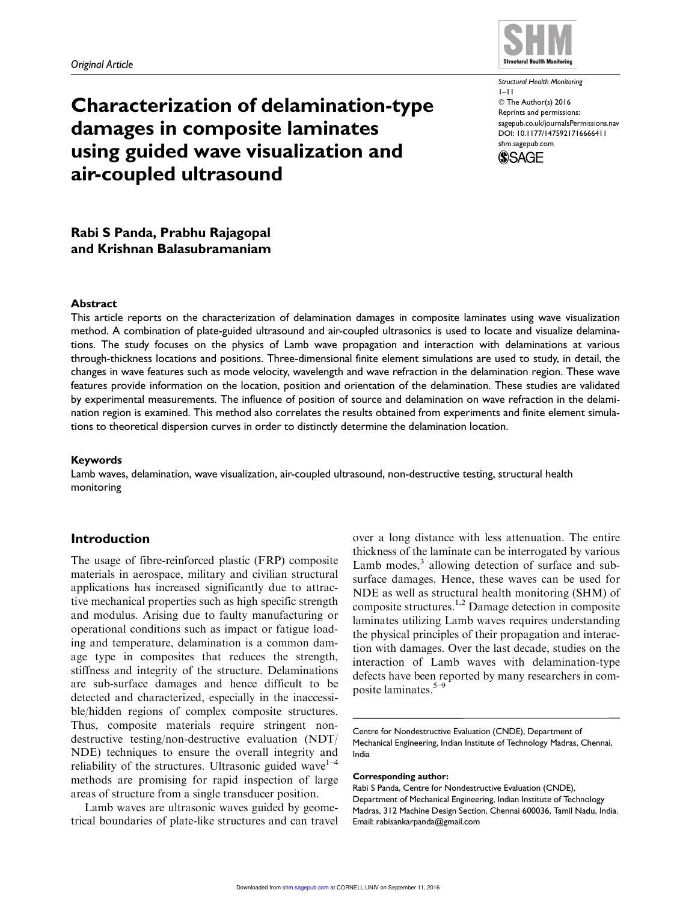

# Characterization of delamination-type damages in composite laminates using guided wave visualization and air-coupled ultrasound

Structural Health Monitoring 1–11 © The Author(s) 2016 Reprints and permissions: sagepub.co.uk/journalsPermissions.nav DOI: 10.1177/1475921716666411 shm.sagepub.com



Rabi S Panda, Prabhu Rajagopal and Krishnan Balasubramaniam

#### Abstract

This article reports on the characterization of delamination damages in composite laminates using wave visualization method. A combination of plate-guided ultrasound and air-coupled ultrasonics is used to locate and visualize delaminations. The study focuses on the physics of Lamb wave propagation and interaction with delaminations at various through-thickness locations and positions. Three-dimensional finite element simulations are used to study, in detail, the changes in wave features such as mode velocity, wavelength and wave refraction in the delamination region. These wave features provide information on the location, position and orientation of the delamination. These studies are validated by experimental measurements. The influence of position of source and delamination on wave refraction in the delamination region is examined. This method also correlates the results obtained from experiments and finite element simulations to theoretical dispersion curves in order to distinctly determine the delamination location.

## Keywords

Lamb waves, delamination, wave visualization, air-coupled ultrasound, non-destructive testing, structural health monitoring

# Introduction

The usage of fibre-reinforced plastic (FRP) composite materials in aerospace, military and civilian structural applications has increased significantly due to attractive mechanical properties such as high specific strength and modulus. Arising due to faulty manufacturing or operational conditions such as impact or fatigue loading and temperature, delamination is a common damage type in composites that reduces the strength, stiffness and integrity of the structure. Delaminations are sub-surface damages and hence difficult to be detected and characterized, especially in the inaccessible/hidden regions of complex composite structures. Thus, composite materials require stringent nondestructive testing/non-destructive evaluation (NDT/ NDE) techniques to ensure the overall integrity and reliability of the structures. Ultrasonic guided wave<sup>1–4</sup> methods are promising for rapid inspection of large areas of structure from a single transducer position.

Lamb waves are ultrasonic waves guided by geometrical boundaries of plate-like structures and can travel over a long distance with less attenuation. The entire thickness of the laminate can be interrogated by various Lamb modes,<sup>3</sup> allowing detection of surface and subsurface damages. Hence, these waves can be used for NDE as well as structural health monitoring (SHM) of composite structures.1,2 Damage detection in composite laminates utilizing Lamb waves requires understanding the physical principles of their propagation and interaction with damages. Over the last decade, studies on the interaction of Lamb waves with delamination-type defects have been reported by many researchers in composite laminates.5–9

Centre for Nondestructive Evaluation (CNDE), Department of Mechanical Engineering, Indian Institute of Technology Madras, Chennai, India

#### Corresponding author:

Rabi S Panda, Centre for Nondestructive Evaluation (CNDE), Department of Mechanical Engineering, Indian Institute of Technology Madras, 312 Machine Design Section, Chennai 600036, Tamil Nadu, India. Email: rabisankarpanda@gmail.com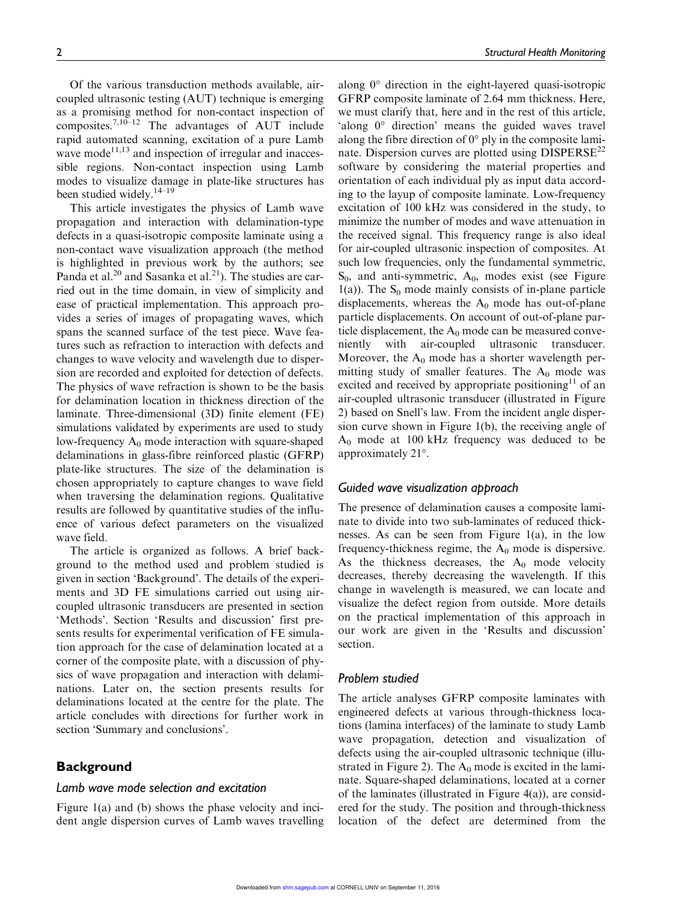Of the various transduction methods available, aircoupled ultrasonic testing (AUT) technique is emerging as a promising method for non-contact inspection of composites.<sup>7,10–12</sup> The advantages of AUT include rapid automated scanning, excitation of a pure Lamb wave mode $^{11,13}$  and inspection of irregular and inaccessible regions. Non-contact inspection using Lamb modes to visualize damage in plate-like structures has been studied widely.<sup>14-19</sup>

This article investigates the physics of Lamb wave propagation and interaction with delamination-type defects in a quasi-isotropic composite laminate using a non-contact wave visualization approach (the method is highlighted in previous work by the authors; see Panda et al.<sup>20</sup> and Sasanka et al.<sup>21</sup>). The studies are carried out in the time domain, in view of simplicity and ease of practical implementation. This approach provides a series of images of propagating waves, which spans the scanned surface of the test piece. Wave features such as refraction to interaction with defects and changes to wave velocity and wavelength due to dispersion are recorded and exploited for detection of defects. The physics of wave refraction is shown to be the basis for delamination location in thickness direction of the laminate. Three-dimensional (3D) finite element (FE) simulations validated by experiments are used to study low-frequency  $A_0$  mode interaction with square-shaped delaminations in glass-fibre reinforced plastic (GFRP) plate-like structures. The size of the delamination is chosen appropriately to capture changes to wave field when traversing the delamination regions. Qualitative results are followed by quantitative studies of the influence of various defect parameters on the visualized wave field.

The article is organized as follows. A brief background to the method used and problem studied is given in section 'Background'. The details of the experiments and 3D FE simulations carried out using aircoupled ultrasonic transducers are presented in section 'Methods'. Section 'Results and discussion' first presents results for experimental verification of FE simulation approach for the case of delamination located at a corner of the composite plate, with a discussion of physics of wave propagation and interaction with delaminations. Later on, the section presents results for delaminations located at the centre for the plate. The article concludes with directions for further work in section 'Summary and conclusions'.

## **Background**

## Lamb wave mode selection and excitation

Figure 1(a) and (b) shows the phase velocity and incident angle dispersion curves of Lamb waves travelling

along  $0^{\circ}$  direction in the eight-layered quasi-isotropic GFRP composite laminate of 2.64 mm thickness. Here, we must clarify that, here and in the rest of this article, 'along  $0^{\circ}$  direction' means the guided waves travel along the fibre direction of  $0^{\circ}$  ply in the composite laminate. Dispersion curves are plotted using  $DISPERSE^{22}$ software by considering the material properties and orientation of each individual ply as input data according to the layup of composite laminate. Low-frequency excitation of 100 kHz was considered in the study, to minimize the number of modes and wave attenuation in the received signal. This frequency range is also ideal for air-coupled ultrasonic inspection of composites. At such low frequencies, only the fundamental symmetric,  $S_0$ , and anti-symmetric,  $A_0$ , modes exist (see Figure 1(a)). The  $S_0$  mode mainly consists of in-plane particle displacements, whereas the  $A_0$  mode has out-of-plane particle displacements. On account of out-of-plane particle displacement, the  $A_0$  mode can be measured conveniently with air-coupled ultrasonic transducer. Moreover, the  $A_0$  mode has a shorter wavelength permitting study of smaller features. The  $A_0$  mode was excited and received by appropriate positioning<sup>11</sup> of an air-coupled ultrasonic transducer (illustrated in Figure 2) based on Snell's law. From the incident angle dispersion curve shown in Figure 1(b), the receiving angle of  $A_0$  mode at 100 kHz frequency was deduced to be approximately 21°.

## Guided wave visualization approach

The presence of delamination causes a composite laminate to divide into two sub-laminates of reduced thicknesses. As can be seen from Figure 1(a), in the low frequency-thickness regime, the  $A_0$  mode is dispersive. As the thickness decreases, the  $A_0$  mode velocity decreases, thereby decreasing the wavelength. If this change in wavelength is measured, we can locate and visualize the defect region from outside. More details on the practical implementation of this approach in our work are given in the 'Results and discussion' section.

## Problem studied

The article analyses GFRP composite laminates with engineered defects at various through-thickness locations (lamina interfaces) of the laminate to study Lamb wave propagation, detection and visualization of defects using the air-coupled ultrasonic technique (illustrated in Figure 2). The  $A_0$  mode is excited in the laminate. Square-shaped delaminations, located at a corner of the laminates (illustrated in Figure 4(a)), are considered for the study. The position and through-thickness location of the defect are determined from the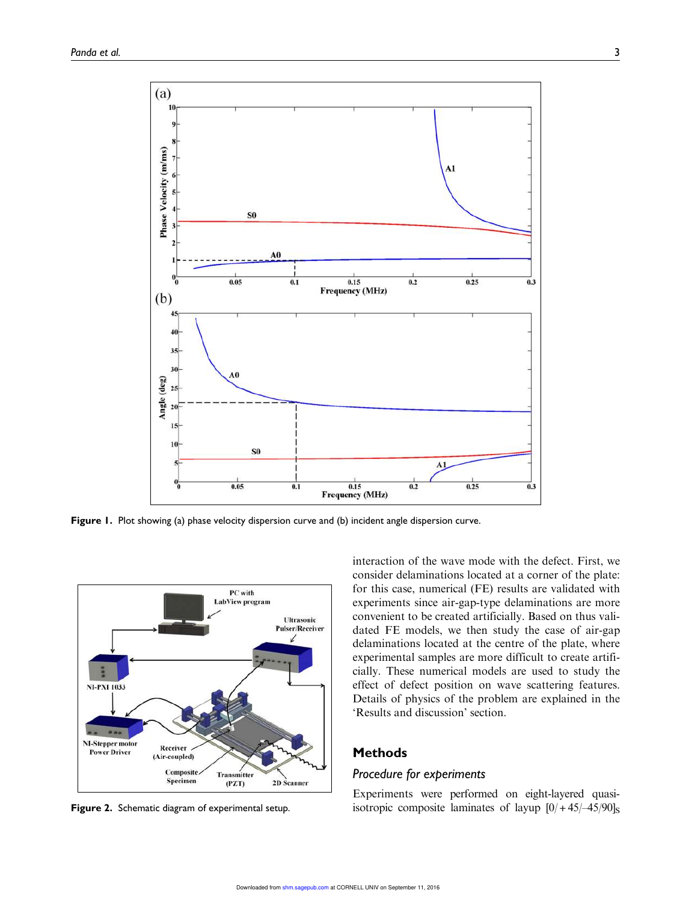

Figure 1. Plot showing (a) phase velocity dispersion curve and (b) incident angle dispersion curve.



Figure 2. Schematic diagram of experimental setup.

interaction of the wave mode with the defect. First, we consider delaminations located at a corner of the plate: for this case, numerical (FE) results are validated with experiments since air-gap-type delaminations are more convenient to be created artificially. Based on thus validated FE models, we then study the case of air-gap delaminations located at the centre of the plate, where experimental samples are more difficult to create artificially. These numerical models are used to study the effect of defect position on wave scattering features. Details of physics of the problem are explained in the 'Results and discussion' section.

## Methods

## Procedure for experiments

Experiments were performed on eight-layered quasiisotropic composite laminates of layup  $[0/ +45/–45/90]_{\rm S}$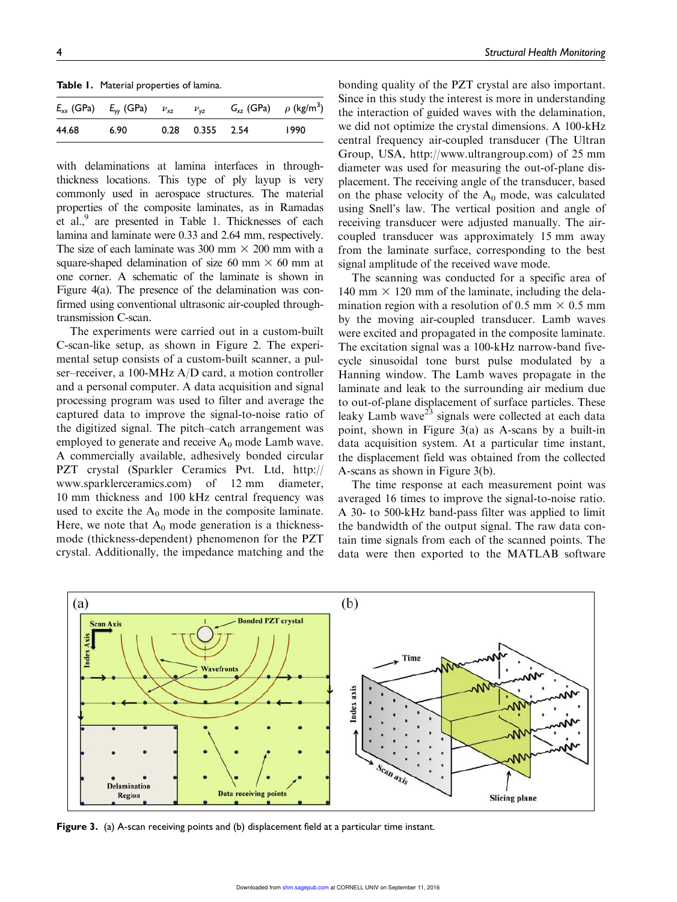Table 1. Material properties of lamina.

|       | $E_{xx}$ (GPa) $E_{yy}$ (GPa) $v_{xz}$ $v_{yz}$ |                   | $G_{xz}$ (GPa) $\rho$ (kg/m <sup>3</sup> ) |      |
|-------|-------------------------------------------------|-------------------|--------------------------------------------|------|
| 44.68 | 6.90                                            | $0.28$ 0.355 2.54 |                                            | 1990 |

with delaminations at lamina interfaces in throughthickness locations. This type of ply layup is very commonly used in aerospace structures. The material properties of the composite laminates, as in Ramadas et al.,<sup>9</sup> are presented in Table 1. Thicknesses of each lamina and laminate were 0.33 and 2.64 mm, respectively. The size of each laminate was 300 mm  $\times$  200 mm with a square-shaped delamination of size 60 mm  $\times$  60 mm at one corner. A schematic of the laminate is shown in Figure 4(a). The presence of the delamination was confirmed using conventional ultrasonic air-coupled throughtransmission C-scan.

The experiments were carried out in a custom-built C-scan-like setup, as shown in Figure 2. The experimental setup consists of a custom-built scanner, a pulser–receiver, a 100-MHz A/D card, a motion controller and a personal computer. A data acquisition and signal processing program was used to filter and average the captured data to improve the signal-to-noise ratio of the digitized signal. The pitch–catch arrangement was employed to generate and receive  $A_0$  mode Lamb wave. A commercially available, adhesively bonded circular PZT crystal (Sparkler Ceramics Pvt. Ltd, http:// www.sparklerceramics.com) of 12 mm diameter, 10 mm thickness and 100 kHz central frequency was used to excite the  $A_0$  mode in the composite laminate. Here, we note that  $A_0$  mode generation is a thicknessmode (thickness-dependent) phenomenon for the PZT crystal. Additionally, the impedance matching and the

bonding quality of the PZT crystal are also important. Since in this study the interest is more in understanding the interaction of guided waves with the delamination, we did not optimize the crystal dimensions. A 100-kHz central frequency air-coupled transducer (The Ultran Group, USA, http://www.ultrangroup.com) of 25 mm diameter was used for measuring the out-of-plane displacement. The receiving angle of the transducer, based on the phase velocity of the  $A_0$  mode, was calculated using Snell's law. The vertical position and angle of receiving transducer were adjusted manually. The aircoupled transducer was approximately 15 mm away from the laminate surface, corresponding to the best signal amplitude of the received wave mode.

The scanning was conducted for a specific area of 140 mm  $\times$  120 mm of the laminate, including the delamination region with a resolution of 0.5 mm  $\times$  0.5 mm by the moving air-coupled transducer. Lamb waves were excited and propagated in the composite laminate. The excitation signal was a 100-kHz narrow-band fivecycle sinusoidal tone burst pulse modulated by a Hanning window. The Lamb waves propagate in the laminate and leak to the surrounding air medium due to out-of-plane displacement of surface particles. These leaky Lamb wave<sup>23</sup> signals were collected at each data point, shown in Figure 3(a) as A-scans by a built-in data acquisition system. At a particular time instant, the displacement field was obtained from the collected A-scans as shown in Figure 3(b).

The time response at each measurement point was averaged 16 times to improve the signal-to-noise ratio. A 30- to 500-kHz band-pass filter was applied to limit the bandwidth of the output signal. The raw data contain time signals from each of the scanned points. The data were then exported to the MATLAB software



Figure 3. (a) A-scan receiving points and (b) displacement field at a particular time instant.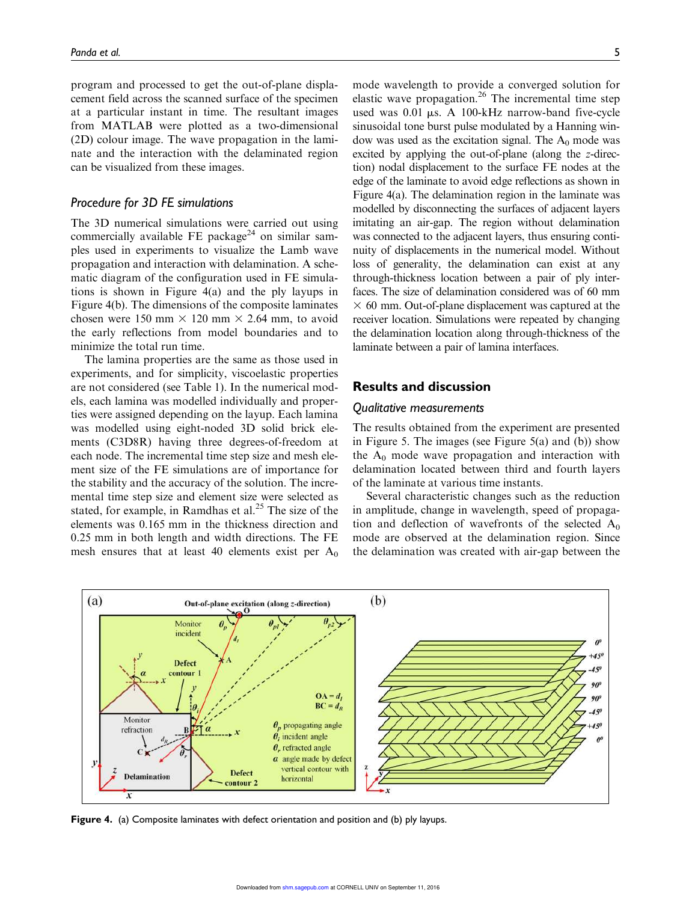program and processed to get the out-of-plane displacement field across the scanned surface of the specimen at a particular instant in time. The resultant images from MATLAB were plotted as a two-dimensional (2D) colour image. The wave propagation in the laminate and the interaction with the delaminated region can be visualized from these images.

### Procedure for 3D FE simulations

The 3D numerical simulations were carried out using commercially available FE package<sup>24</sup> on similar samples used in experiments to visualize the Lamb wave propagation and interaction with delamination. A schematic diagram of the configuration used in FE simulations is shown in Figure 4(a) and the ply layups in Figure 4(b). The dimensions of the composite laminates chosen were 150 mm  $\times$  120 mm  $\times$  2.64 mm, to avoid the early reflections from model boundaries and to minimize the total run time.

The lamina properties are the same as those used in experiments, and for simplicity, viscoelastic properties are not considered (see Table 1). In the numerical models, each lamina was modelled individually and properties were assigned depending on the layup. Each lamina was modelled using eight-noded 3D solid brick elements (C3D8R) having three degrees-of-freedom at each node. The incremental time step size and mesh element size of the FE simulations are of importance for the stability and the accuracy of the solution. The incremental time step size and element size were selected as stated, for example, in Ramdhas et al.<sup>25</sup> The size of the elements was 0.165 mm in the thickness direction and 0.25 mm in both length and width directions. The FE mesh ensures that at least 40 elements exist per  $A_0$  mode wavelength to provide a converged solution for elastic wave propagation.<sup>26</sup> The incremental time step used was  $0.01 \mu s$ . A 100-kHz narrow-band five-cycle sinusoidal tone burst pulse modulated by a Hanning window was used as the excitation signal. The  $A_0$  mode was excited by applying the out-of-plane (along the z-direction) nodal displacement to the surface FE nodes at the edge of the laminate to avoid edge reflections as shown in Figure 4(a). The delamination region in the laminate was modelled by disconnecting the surfaces of adjacent layers imitating an air-gap. The region without delamination was connected to the adjacent layers, thus ensuring continuity of displacements in the numerical model. Without loss of generality, the delamination can exist at any through-thickness location between a pair of ply interfaces. The size of delamination considered was of 60 mm  $\times$  60 mm. Out-of-plane displacement was captured at the receiver location. Simulations were repeated by changing the delamination location along through-thickness of the laminate between a pair of lamina interfaces.

# Results and discussion

### Qualitative measurements

The results obtained from the experiment are presented in Figure 5. The images (see Figure 5(a) and (b)) show the  $A_0$  mode wave propagation and interaction with delamination located between third and fourth layers of the laminate at various time instants.

Several characteristic changes such as the reduction in amplitude, change in wavelength, speed of propagation and deflection of wavefronts of the selected  $A_0$ mode are observed at the delamination region. Since the delamination was created with air-gap between the



Figure 4. (a) Composite laminates with defect orientation and position and (b) ply layups.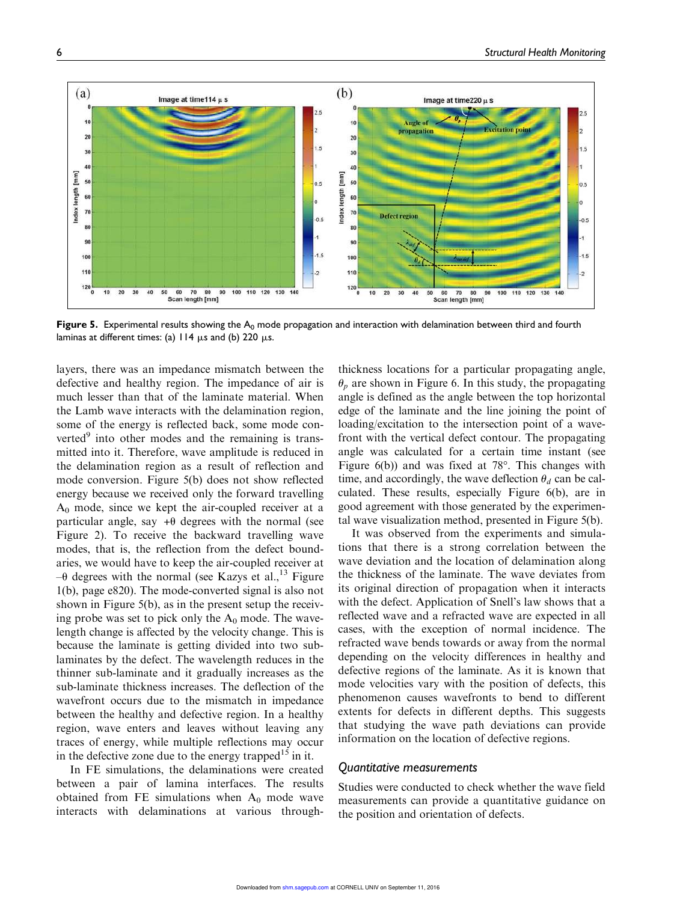

Figure 5. Experimental results showing the  $A_0$  mode propagation and interaction with delamination between third and fourth laminas at different times: (a)  $114 \mu s$  and (b) 220  $\mu s$ .

layers, there was an impedance mismatch between the defective and healthy region. The impedance of air is much lesser than that of the laminate material. When the Lamb wave interacts with the delamination region, some of the energy is reflected back, some mode converted<sup>9</sup> into other modes and the remaining is transmitted into it. Therefore, wave amplitude is reduced in the delamination region as a result of reflection and mode conversion. Figure 5(b) does not show reflected energy because we received only the forward travelling  $A_0$  mode, since we kept the air-coupled receiver at a particular angle, say  $+\theta$  degrees with the normal (see Figure 2). To receive the backward travelling wave modes, that is, the reflection from the defect boundaries, we would have to keep the air-coupled receiver at  $-\theta$  degrees with the normal (see Kazys et al.,<sup>13</sup> Figure 1(b), page e820). The mode-converted signal is also not shown in Figure 5(b), as in the present setup the receiving probe was set to pick only the  $A_0$  mode. The wavelength change is affected by the velocity change. This is because the laminate is getting divided into two sublaminates by the defect. The wavelength reduces in the thinner sub-laminate and it gradually increases as the sub-laminate thickness increases. The deflection of the wavefront occurs due to the mismatch in impedance between the healthy and defective region. In a healthy region, wave enters and leaves without leaving any traces of energy, while multiple reflections may occur in the defective zone due to the energy trapped<sup>15</sup> in it.

In FE simulations, the delaminations were created between a pair of lamina interfaces. The results obtained from FE simulations when  $A_0$  mode wave interacts with delaminations at various through-

thickness locations for a particular propagating angle,  $\theta_n$  are shown in Figure 6. In this study, the propagating angle is defined as the angle between the top horizontal edge of the laminate and the line joining the point of loading/excitation to the intersection point of a wavefront with the vertical defect contour. The propagating angle was calculated for a certain time instant (see Figure  $6(b)$ ) and was fixed at 78 $^{\circ}$ . This changes with time, and accordingly, the wave deflection  $\theta_d$  can be calculated. These results, especially Figure 6(b), are in good agreement with those generated by the experimental wave visualization method, presented in Figure 5(b).

It was observed from the experiments and simulations that there is a strong correlation between the wave deviation and the location of delamination along the thickness of the laminate. The wave deviates from its original direction of propagation when it interacts with the defect. Application of Snell's law shows that a reflected wave and a refracted wave are expected in all cases, with the exception of normal incidence. The refracted wave bends towards or away from the normal depending on the velocity differences in healthy and defective regions of the laminate. As it is known that mode velocities vary with the position of defects, this phenomenon causes wavefronts to bend to different extents for defects in different depths. This suggests that studying the wave path deviations can provide information on the location of defective regions.

## Quantitative measurements

Studies were conducted to check whether the wave field measurements can provide a quantitative guidance on the position and orientation of defects.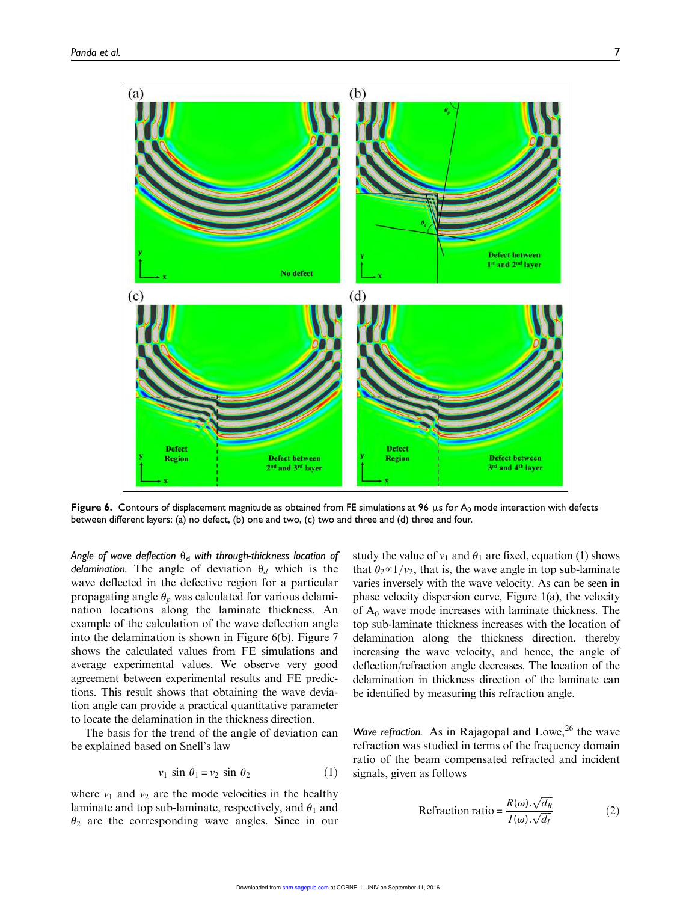

Figure 6. Contours of displacement magnitude as obtained from FE simulations at 96  $\mu$ s for A<sub>0</sub> mode interaction with defects between different layers: (a) no defect, (b) one and two, (c) two and three and (d) three and four.

Angle of wave deflection  $\theta_d$  with through-thickness location of delamination. The angle of deviation  $\theta_d$  which is the wave deflected in the defective region for a particular propagating angle  $\theta_p$  was calculated for various delamination locations along the laminate thickness. An example of the calculation of the wave deflection angle into the delamination is shown in Figure 6(b). Figure 7 shows the calculated values from FE simulations and average experimental values. We observe very good agreement between experimental results and FE predictions. This result shows that obtaining the wave deviation angle can provide a practical quantitative parameter to locate the delamination in the thickness direction.

The basis for the trend of the angle of deviation can be explained based on Snell's law

$$
v_1 \sin \theta_1 = v_2 \sin \theta_2 \tag{1}
$$

where  $v_1$  and  $v_2$  are the mode velocities in the healthy laminate and top sub-laminate, respectively, and  $\theta_1$  and  $\theta_2$  are the corresponding wave angles. Since in our study the value of  $v_1$  and  $\theta_1$  are fixed, equation (1) shows that  $\theta_2 \propto 1/v_2$ , that is, the wave angle in top sub-laminate varies inversely with the wave velocity. As can be seen in phase velocity dispersion curve, Figure 1(a), the velocity of  $A_0$  wave mode increases with laminate thickness. The top sub-laminate thickness increases with the location of delamination along the thickness direction, thereby increasing the wave velocity, and hence, the angle of deflection/refraction angle decreases. The location of the delamination in thickness direction of the laminate can be identified by measuring this refraction angle.

Wave refraction. As in Rajagopal and Lowe,<sup>26</sup> the wave refraction was studied in terms of the frequency domain ratio of the beam compensated refracted and incident signals, given as follows

$$
Refraction ratio = \frac{R(\omega) \cdot \sqrt{d_R}}{I(\omega) \cdot \sqrt{d_I}}
$$
 (2)

ffiffiffiffiffi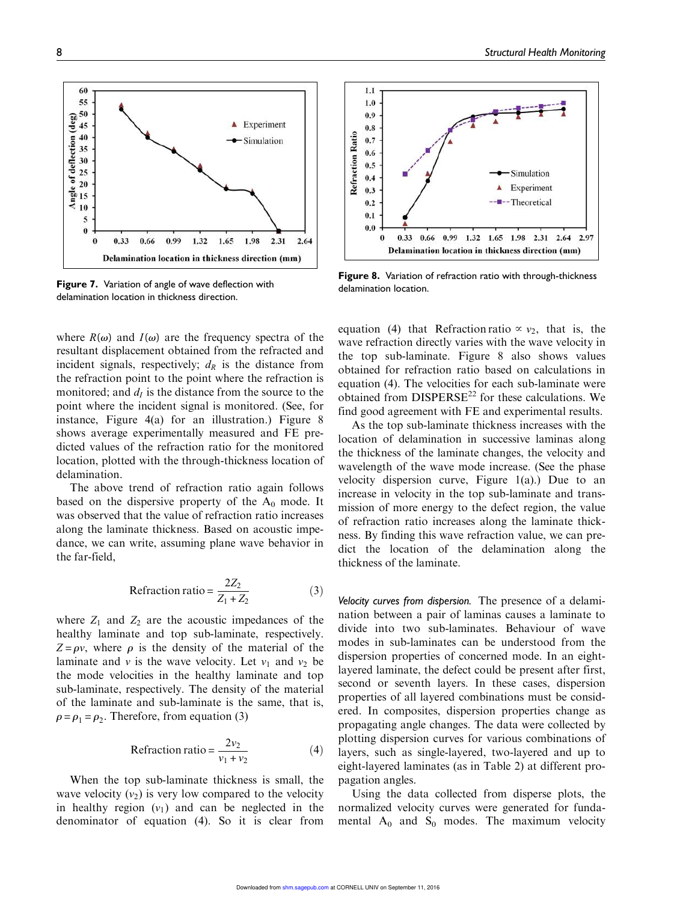60

55



Experiment

Simulation

incident signals, respectively;  $d<sub>R</sub>$  is the distance from the refraction point to the point where the refraction is monitored; and  $d_I$  is the distance from the source to the point where the incident signal is monitored. (See, for instance, Figure 4(a) for an illustration.) Figure 8 shows average experimentally measured and FE predicted values of the refraction ratio for the monitored location, plotted with the through-thickness location of delamination.

The above trend of refraction ratio again follows based on the dispersive property of the  $A_0$  mode. It was observed that the value of refraction ratio increases along the laminate thickness. Based on acoustic impedance, we can write, assuming plane wave behavior in the far-field,

$$
Refraction ratio = \frac{2Z_2}{Z_1 + Z_2}
$$
 (3)

where  $Z_1$  and  $Z_2$  are the acoustic impedances of the healthy laminate and top sub-laminate, respectively.  $Z = \rho v$ , where  $\rho$  is the density of the material of the laminate and v is the wave velocity. Let  $v_1$  and  $v_2$  be the mode velocities in the healthy laminate and top sub-laminate, respectively. The density of the material of the laminate and sub-laminate is the same, that is,  $\rho = \rho_1 = \rho_2$ . Therefore, from equation (3)

$$
Refraction ratio = \frac{2v_2}{v_1 + v_2}
$$
 (4)

When the top sub-laminate thickness is small, the wave velocity  $(v_2)$  is very low compared to the velocity in healthy region  $(v_1)$  and can be neglected in the denominator of equation (4). So it is clear from



Figure 8. Variation of refraction ratio with through-thickness delamination location.

equation (4) that Refraction ratio  $\propto v_2$ , that is, the wave refraction directly varies with the wave velocity in the top sub-laminate. Figure 8 also shows values obtained for refraction ratio based on calculations in equation (4). The velocities for each sub-laminate were obtained from  $DISPERSE^{22}$  for these calculations. We find good agreement with FE and experimental results.

As the top sub-laminate thickness increases with the location of delamination in successive laminas along the thickness of the laminate changes, the velocity and wavelength of the wave mode increase. (See the phase velocity dispersion curve, Figure 1(a).) Due to an increase in velocity in the top sub-laminate and transmission of more energy to the defect region, the value of refraction ratio increases along the laminate thickness. By finding this wave refraction value, we can predict the location of the delamination along the thickness of the laminate.

Velocity curves from dispersion. The presence of a delamination between a pair of laminas causes a laminate to divide into two sub-laminates. Behaviour of wave modes in sub-laminates can be understood from the dispersion properties of concerned mode. In an eightlayered laminate, the defect could be present after first, second or seventh layers. In these cases, dispersion properties of all layered combinations must be considered. In composites, dispersion properties change as propagating angle changes. The data were collected by plotting dispersion curves for various combinations of layers, such as single-layered, two-layered and up to eight-layered laminates (as in Table 2) at different propagation angles.

Using the data collected from disperse plots, the normalized velocity curves were generated for fundamental  $A_0$  and  $S_0$  modes. The maximum velocity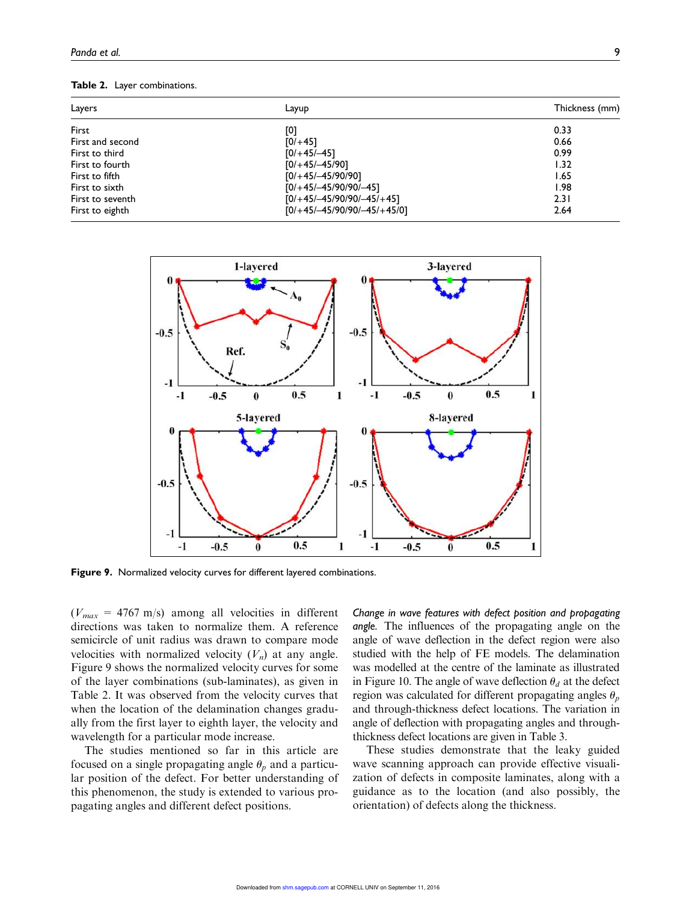#### Table 2. Layer combinations.

| Layers           | Layup                         | Thickness (mm) |  |  |
|------------------|-------------------------------|----------------|--|--|
| First            | [0]                           | 0.33           |  |  |
| First and second | $[0/+45]$                     | 0.66           |  |  |
| First to third   | $[0/+45/-45]$                 | 0.99           |  |  |
| First to fourth  | $[0/+45/-45/90]$              | 1.32           |  |  |
| First to fifth   | $[0/+45/-45/90/90]$           | 1.65           |  |  |
| First to sixth   | $[0/+45/-45/90/90/-45]$       | 1.98           |  |  |
| First to seventh | $[0/+45/-45/90/90/-45/+45]$   | 2.31           |  |  |
| First to eighth  | $[0/+45/-45/90/90/-45/+45/0]$ | 2.64           |  |  |



Figure 9. Normalized velocity curves for different layered combinations.

 $(V_{max} = 4767 \text{ m/s})$  among all velocities in different directions was taken to normalize them. A reference semicircle of unit radius was drawn to compare mode velocities with normalized velocity  $(V_n)$  at any angle. Figure 9 shows the normalized velocity curves for some of the layer combinations (sub-laminates), as given in Table 2. It was observed from the velocity curves that when the location of the delamination changes gradually from the first layer to eighth layer, the velocity and wavelength for a particular mode increase.

The studies mentioned so far in this article are focused on a single propagating angle  $\theta_p$  and a particular position of the defect. For better understanding of this phenomenon, the study is extended to various propagating angles and different defect positions.

Change in wave features with defect position and propagating angle. The influences of the propagating angle on the angle of wave deflection in the defect region were also studied with the help of FE models. The delamination was modelled at the centre of the laminate as illustrated in Figure 10. The angle of wave deflection  $\theta_d$  at the defect region was calculated for different propagating angles  $\theta_p$ and through-thickness defect locations. The variation in angle of deflection with propagating angles and throughthickness defect locations are given in Table 3.

These studies demonstrate that the leaky guided wave scanning approach can provide effective visualization of defects in composite laminates, along with a guidance as to the location (and also possibly, the orientation) of defects along the thickness.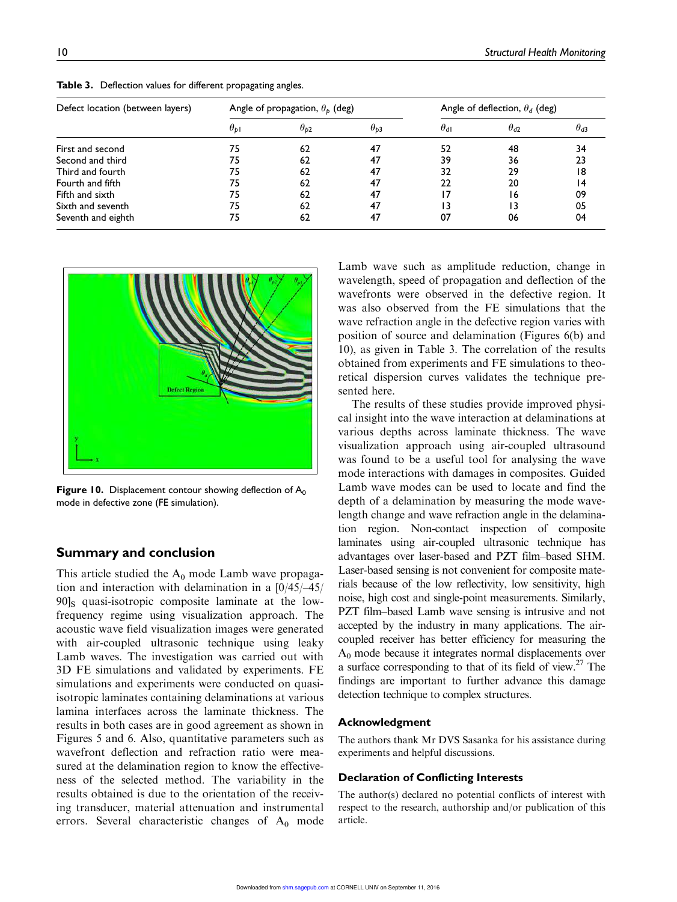| Defect location (between layers) | Angle of propagation, $\theta_{\rm b}$ (deg) |               |               | Angle of deflection, $\theta_d$ (deg) |               |               |
|----------------------------------|----------------------------------------------|---------------|---------------|---------------------------------------|---------------|---------------|
|                                  | $\theta_{\text{pl}}$                         | $\theta_{p2}$ | $\theta_{b3}$ | $\theta_{d1}$                         | $\theta_{d2}$ | $\theta_{d3}$ |
| First and second                 | 75                                           | 62            | 47            | 52                                    | 48            | 34            |
| Second and third                 | 75                                           | 62            | 47            | 39                                    | 36            | 23            |
| Third and fourth                 | 75                                           | 62            | 47            | 32                                    | 29            | 18            |
| Fourth and fifth                 | 75                                           | 62            | 47            | 22                                    | 20            | 14            |
| Fifth and sixth                  | 75                                           | 62            | 47            |                                       | 16            | 09            |
| Sixth and seventh                | 75                                           | 62            | 47            |                                       | 13            | 05            |
| Seventh and eighth               | 75                                           | 62            | 47            | 07                                    | 06            | 04            |

Table 3. Deflection values for different propagating angles.



**Figure 10.** Displacement contour showing deflection of  $A_0$ mode in defective zone (FE simulation).

## Summary and conclusion

This article studied the  $A_0$  mode Lamb wave propagation and interaction with delamination in a [0/45/–45/  $90\text{ls}$  quasi-isotropic composite laminate at the lowfrequency regime using visualization approach. The acoustic wave field visualization images were generated with air-coupled ultrasonic technique using leaky Lamb waves. The investigation was carried out with 3D FE simulations and validated by experiments. FE simulations and experiments were conducted on quasiisotropic laminates containing delaminations at various lamina interfaces across the laminate thickness. The results in both cases are in good agreement as shown in Figures 5 and 6. Also, quantitative parameters such as wavefront deflection and refraction ratio were measured at the delamination region to know the effectiveness of the selected method. The variability in the results obtained is due to the orientation of the receiving transducer, material attenuation and instrumental errors. Several characteristic changes of  $A_0$  mode Lamb wave such as amplitude reduction, change in wavelength, speed of propagation and deflection of the wavefronts were observed in the defective region. It was also observed from the FE simulations that the wave refraction angle in the defective region varies with position of source and delamination (Figures 6(b) and 10), as given in Table 3. The correlation of the results obtained from experiments and FE simulations to theoretical dispersion curves validates the technique presented here.

The results of these studies provide improved physical insight into the wave interaction at delaminations at various depths across laminate thickness. The wave visualization approach using air-coupled ultrasound was found to be a useful tool for analysing the wave mode interactions with damages in composites. Guided Lamb wave modes can be used to locate and find the depth of a delamination by measuring the mode wavelength change and wave refraction angle in the delamination region. Non-contact inspection of composite laminates using air-coupled ultrasonic technique has advantages over laser-based and PZT film–based SHM. Laser-based sensing is not convenient for composite materials because of the low reflectivity, low sensitivity, high noise, high cost and single-point measurements. Similarly, PZT film–based Lamb wave sensing is intrusive and not accepted by the industry in many applications. The aircoupled receiver has better efficiency for measuring the  $A_0$  mode because it integrates normal displacements over a surface corresponding to that of its field of view. $27$  The findings are important to further advance this damage detection technique to complex structures.

#### Acknowledgment

The authors thank Mr DVS Sasanka for his assistance during experiments and helpful discussions.

#### Declaration of Conflicting Interests

The author(s) declared no potential conflicts of interest with respect to the research, authorship and/or publication of this article.